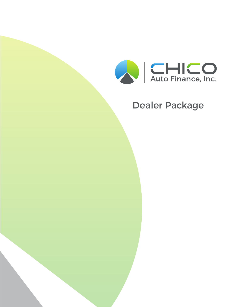

# Dealer Package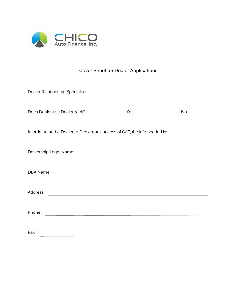

## **Cover Sheet for Dealer Applications**

| Dealer Relationship Specialist:                                                                                              |                                                   |           |
|------------------------------------------------------------------------------------------------------------------------------|---------------------------------------------------|-----------|
| Does Dealer use Dealertrack?                                                                                                 | Yes                                               | <b>No</b> |
| In order to add a Dealer to Dealertrack access of CAF, the info needed is:                                                   |                                                   |           |
| Dealership Legal Name:                                                                                                       | <u> 1980 - Johann Barbara, martxa alemaniar a</u> |           |
| DBA Name:                                                                                                                    |                                                   |           |
| Address:<br>and the control of the control of the control of the control of the control of the control of the control of the |                                                   |           |
| Phone:                                                                                                                       |                                                   |           |
| Fax:                                                                                                                         |                                                   |           |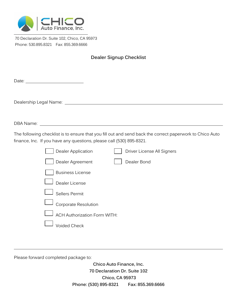

70 Declaration Dr. Suite 102, Chico, CA 95973 Phone: 530.895.8321 Fax: 855.369.6666

### **Dealer Signup Checklist**

| DBA Name: with a state of the state of the state of the state of the state of the state of the state of the state of the state of the state of the state of the state of the state of the state of the state of the state of t |
|--------------------------------------------------------------------------------------------------------------------------------------------------------------------------------------------------------------------------------|
| The following checklist is to ensure that you fill out and send back the correct paperwork to Chico Auto<br>finance, Inc. If you have any questions, please call (530) 895-8321.                                               |
| Dealer Application<br>Driver License All Signers                                                                                                                                                                               |
| Dealer Bond<br>Dealer Agreement                                                                                                                                                                                                |
| <b>Business License</b>                                                                                                                                                                                                        |
| Dealer License                                                                                                                                                                                                                 |
| Sellers Permit                                                                                                                                                                                                                 |
| Corporate Resolution                                                                                                                                                                                                           |
| <b>ACH Authorization Form WITH:</b>                                                                                                                                                                                            |
| <b>Voided Check</b>                                                                                                                                                                                                            |

Please forward completed package to:

**Chico Auto Finance, Inc. 70 Declaration Dr. Suite 102 Chico, CA 95973 Phone: (530) 895-8321 Fax: 855.369.6666**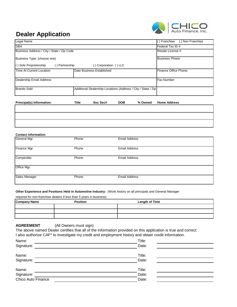

## **Dealer Application**

| Business Type: (choose one)              |       |                                                               |            |         | <b>Business Phone:</b> |
|------------------------------------------|-------|---------------------------------------------------------------|------------|---------|------------------------|
| () Sole Proprietorship<br>() Partnership |       | () Corporation () LLC                                         |            |         |                        |
| Time At Current Location:                |       | Date Business Established                                     |            |         | Finance Office Phone:  |
| Dealership Email Address                 |       |                                                               |            |         | Fax Number             |
| Brands Sold                              |       | Additional Dealership Locations (Address / City / State / Zip |            |         |                        |
| Principal(s) Information:                | Title | Soc Sec#                                                      | <b>DOB</b> | % Owned | <b>Home Address</b>    |
|                                          |       |                                                               |            |         |                        |

#### **Contact Information:**

| General Mgr.  | Phone | <b>Email Address</b> |  |
|---------------|-------|----------------------|--|
| Finance Mgr.  | Phone | <b>Email Address</b> |  |
| Comptroller   | Phone | <b>Email Address</b> |  |
| Office Mgr.   |       |                      |  |
| Sales Manager | Phone | <b>Email Address</b> |  |

**Other Experience and Positions Held in Automotive Industry:** (Work history on all principals and General Manager

required for non-franchise dealers if less than 5 years in business)

| <b>Company Name</b> | <b>Position</b> | <b>Length of Time</b> |
|---------------------|-----------------|-----------------------|
|                     |                 |                       |
|                     |                 |                       |
|                     |                 |                       |

#### **AGREEMENT** (All Owners must sign)

The above named Dealer certifies that all of the information provided on this application is true and correct. I also authorize CAF\* to investigate my credit and employment history and obtain credit information.

| Name:              | Title: |  |
|--------------------|--------|--|
| Signature:         | Date:  |  |
| Name:              | Title: |  |
| Signature:         | Date:  |  |
| Name:              | Title: |  |
| Signature:         | Date:  |  |
| Chico Auto Finance | Date:  |  |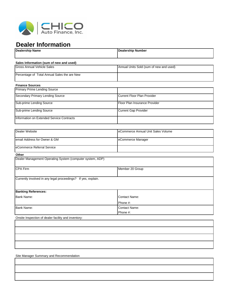

## **Dealer Information**

| <b>Dealership Name</b>                                        | <b>Dealership Number</b>                |
|---------------------------------------------------------------|-----------------------------------------|
| Sales Information (sum of new and used)                       |                                         |
| <b>Gross Annual Vehicle Sales</b>                             | Annual Units Sold (sum of new and used) |
| Percentage of Total Annual Sales the are New                  |                                         |
| <b>Finance Sources</b>                                        |                                         |
| <b>Primary Prime Lending Source</b>                           |                                         |
| Secondary Primary Lending Source                              | <b>Current Floor Plan Provider</b>      |
| Sub-prime Lending Source                                      | Floor Plan Insurance Provider           |
| Sub-prime Lending Source                                      | <b>Current Gap Provider</b>             |
| Information on Extended Service Contracts                     |                                         |
| <b>Dealer Website</b>                                         | eCommerce Annual Unit Sales Volume      |
|                                                               |                                         |
| email Address for Owner & GM                                  | eCommerce Manager                       |
| eCommerce Referral Service                                    |                                         |
| Other                                                         |                                         |
| Dealer Management Operating System (computer system, ADP)     |                                         |
| <b>CPA Firm</b>                                               | Member 20 Group                         |
| Currently involved in any legal proceedings? If yes, explain. |                                         |
| <b>Banking References:</b>                                    |                                         |
| Bank Name:                                                    | Contact Name:                           |
|                                                               | Phone #:                                |
| Bank Name:                                                    | Contact Name:                           |
|                                                               | Phone #:                                |
| Onsite Inspection of dealer facility and inventory:           |                                         |
|                                                               |                                         |
|                                                               |                                         |
|                                                               |                                         |
|                                                               |                                         |

Site Manager Summary and Recommendation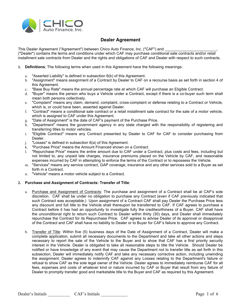

#### **Dealer Agreement**

This Dealer Agreement ("Agreement") between Chico Auto Finance, Inc. ("CAF") and

("Dealer") contains the terms and conditions under which CAF may purchase conditional sale contracts and/or retail installment sale contracts from Dealer and the rights and obligations of CAF and Dealer with respect to such contracts.

- **1. Definitions**: The following terms when used in this Agreement have the following meanings:
	- a. "Asserted Liability" is defined in subsection 6(b) of this Agreement.
	- b. "Assignment" means assignment of a Contract by Dealer to CAF on a recourse basis as set forth in section 4 of this Agreement.
	- c. "Base Buy Rate" means the annual percentage rate at which CAF will purchase an Eligible Contract.
	- d. "Buyer" means the person who buys a Vehicle under a Contract, except if there is a co-buyer such term shall mean both persons collectively.
	- e. "Complaint" means any claim, demand, complaint, cross-complaint or defense relating to a Contract or Vehicle, which is, or could have been, asserted against Dealer.
	- f. "Contract" means a conditional sale contract or a retail installment sale contract for the sale of a motor vehicle, which is assigned to CAF under this Agreement.
	- g. "Date of Assignment" is the date of CAF's payment of the Purchase Price.
	- h. "Department" means the government agency in any state charged with the responsibility of registering and transferring titles to motor vehicles.
	- i. "Eligible Contract" means any Contract presented by Dealer to CAF for CAF to consider purchasing from Dealer.
	- j. "Losses" is defined in subsection  $6(a)$  of this Agreement.<br>k. "Purchase Price" means the Amount Financed shown on
	- "Purchase Price" means the Amount Financed shown on a Contract.
	- l. "Repurchase Price" means the entire amount due to CAF under a Contract, plus costs and fees, including but not limited to, any unpaid late charges, insurance premiums placed on the Vehicle by CAF, and reasonable expenses incurred by CAF in attempting to enforce the terms of the Contract or to repossess the Vehicle.
	- m. "Services" means any service contract, GAP coverage, insurance and any other services sold to a Buyer as set forth in a Contract.
	- n. "Vehicle" means a motor vehicle subject to a Contract.

#### **2. Purchase and Assignment of Contracts: Transfer of Title**:

- a. Purchase and Assignment of Contracts: The purchase and assignment of a Contract shall be at CAF's sole discretion. CAF shall be under no obligation to purchase any Contract (even if CAF previously indicated that such Contract was acceptable.) Upon assignment of a Contract CAF shall pay Dealer the Purchase Price less any discount and full title to the Vehicle shall thereupon be transferred to CAF. If CAF agrees to purchase a Contract before it has had an opportunity to investigate fully the creditworthiness of a Buyer, CAF shall have the unconditional right to return such Contract to Dealer within thirty (30) days, and Dealer shall immediately repurchase the Contract for its Repurchase Price. CAF agrees to advise Dealer of its approval or disapproval of the Contract and CAF shall have no liability to Dealer or to Buyer for CAF's failure to approve any Contract.
- b. Transfer of Title: Within five (5) business days of the Date of Assignment of a Contract, Dealer will make a complete application, submit all necessary documents to the Department and take all other actions and steps necessary to report the sale of the Vehicle to the Buyer and to show that CAF has a first priority security interest in the Vehicle. Dealer is obligated to take all reasonable steps to title the Vehicle. Should Dealer be notified or have knowledge of any event that may cause the Department not to transfer title as set forth in this subsection, Dealer will immediately notify CAF and take any necessary corrective action, including unwinding the assignment. Dealer agrees to indemnify CAF against any Losses relating to the Department's failure or refusal to show CAF as the sole legal owner of the Vehicle. Dealer agrees to immediately reimburse CAF for all fees, expenses and costs of whatever kind or nature incurred by CAF or Buyer that result from any failure of Dealer to promptly transfer good and marketable title to the Buyer and CAF as required by this Agreement.

Dealer's Initials CAF's Initials CAF's Initials Page 1 of 6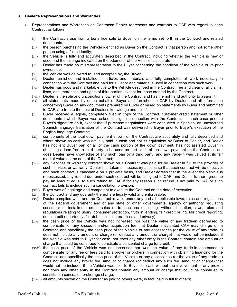#### **3. Dealer's Representations and Warranties:**

- a. Representations and Warranties on Contracts: Dealer represents and warrants to CAF with regard to each Contract as follows:
	- (i) the Contract arose from a bona fide sale to Buyer on the terms set forth in the Contract and related documents;
	- (ii) the person purchasing the Vehicle identified as Buyer on the Contract is that person and not some other person using a false identity;
	- (iii) the Vehicle is fully and accurately described in the Contract, including whether the Vehicle is new or used and the mileage indicated on the odometer of the Vehicle is accurate;
	- (iv) Dealer has made no misrepresentation to the Buyer concerning the condition of the Vehicle or its prior ownership;
	- $(v)$  the Vehicle was delivered to, and accepted by, the Buyer;
	- (vi) Dealer furnished and installed all articles and materials and fully completed all work necessary in connection with the Contract and paid for all labor and materia1s used in connection with such work;
	- (vii) Dealer has good and marketable title to the Vehicle described in the Contract free and clear of all claims, liens, encumbrances and rights of third parties, except for those created by the Contract;
	- (viii) Dealer is the sole and unconditional owner of the Contract and has the right and authority to assign it;
	- (ix) all statements made by or on behalf of Buyer and furnished to CAF by Dealer, and all information concerning Buyer on any documents prepared by Buyer or based on statements by Buyer and submitted to CAF, are true to the best of Dealer's knowledge and belief;
	- (x) Buyer received a legible, completely filled in copy of the Contract, customer credit statement or other document(s) which Buyer was asked to sign in connection with the Contract, in each case prior to Buyer's signature on it, except that if purchase negotiations were conducted in Spanish, an unexecuted Spanish language translation of the Contract was delivered to Buyer prior to Buyer's execution of the English-language Contract;
	- (xi) components of the total down payment shown on the Contract are accurately and fully described and where shown as cash was actually paid in cash and not its equivalent by Buyer to Dealer, and Dealer has not lent Buyer part or all of the cash portion of the down payment, has not assisted Buyer in obtaining a loan from a third party to be used as part or all of the down payment on the Contract, nor does Dealer have knowledge of any such loan by a third party, and any trade-in was valued at its fair market value on the date of the Contract;
	- (xii) any Services or warranty contract shown on a Contract was paid for by Dealer in full to the provider of such services or warranty; Dealer has taken all necessary actions so that such contract will be effective; and such contract is cancelable on a pro-rata basis, and Dealer agrees that in the event the Vehicle is repossessed, any refund due under such contract will be assigned to CAF, and Dealer further agrees to pay an amount equal to such refund to CAF if for any reason such refund is not paid to CAF or such contract fails to include such a cancellation provision;
	- (xiii) Buyer was of legal age and competent to execute the Contract on the date of execution;
	- (xiv) the Contract and any guaranty thereof are legally valid and enforceable;
	- (xv) Dealer complied with, and the Contract is valid under any and all applicable laws, rules and regulations of the Federal government and of any state or other governmental agency or authority regulating consumer or installment credit sales or transactions (including, without limitation, laws, rules and regulations relating to usury, consumer protection, truth in lending, fair credit billing, fair credit reporting, equal credit opportunity, fair debt collection practices and privacy);
	- (xvi) the cash price of the Vehicle was not increased nor was the value of any trade-in decreased to compensate for any discount and/or acquisition fee that Dealer anticipated CAF may charge on a Contract, and specifically the cash price of the Vehicle or any accessories (or the value of any trade-in) does not include any amount or charge (or deduct any amount or charge) that would not be included if the Vehicle was sold to Buyer for cash, nor does any other entry in the Contract contain any amount or charge that could be construed to constitute a concealed charge for credit;
	- (xvii) the cash price of the Vehicle was not increased nor was the value of any trade-in decreased to compensate for any fee or fees paid to a broker or brokers in connection with obtaining financing for the Contract, and specifically the cash price of the Vehicle or any accessories (or the value of any trade-in) does not include any broker fee, amount or charge (or deduct any such fee, amount or charge) that would not be included if the Vehicle was sold to Buyer for cash without the involvement of any broker, nor does any other entry in the Contract contain any amount or charge that could be construed to constitute a concealed brokerage charge;
	- (xviii) all amounts shown on the Contract as paid to others were, in fact, paid in full to others;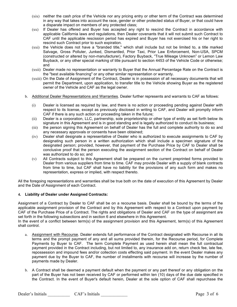- (xix) neither the cash price of the Vehicle nor any pricing entry or other term of the Contract was determined in any way that takes into account the race, gender or other protected status of Buyer, or that could have a disparate impact on members of any protected class;
- (xx) If Dealer has offered and Buyer has accepted any right to rescind the Contract in accordance with applicable California laws and regulations, then Dealer covenants that it will not submit such Contract to CAF until the applicable rescission period has expired and Buyer has not exercised his or her right to rescind such Contract prior to such expiration.
- (xxi) the Vehicle does not have a "branded title," which shall include but not be limited to, a title marked Salvage, Gross Polluter, Junked, Dismantled, Prior Taxi, Prior Law Enforcement, Non-USA, SPCM (constructed or altered by non-manufacturer), Factory Buyback, "True Mileage Unknown" or Lemon Law Buyback, or any other special marking of title pursuant to section 4453 of the Vehicle Code or otherwise; and
- (xxii) Dealer made no representation or warranty to Buyer that the Annual Percentage Rate on the Contract is the "best available financing" or any other similar representation or warranty.
- (xxiii) On the Date of Assignment of the Contract, Dealer is in possession of all necessary documents that will permit the Department, upon application, to transfer title to the Vehicle showing Buyer as the registered owner of the Vehicle and CAF as the legal owner.
- b. Additional Dealer Representations and Warranties. Dealer further represents and warrants to CAF as follows:
	- (i) Dealer is licensed as required by law, and there is no action or proceeding pending against Dealer with respect to its license, except as previously disclosed in writing to CAF, and Dealer will promptly inform CAF if there is any such action or proceeding taken in the future;
	- (ii) Dealer is a corporation, LLC, partnership, sole proprietorship or other type of entity as set forth below its signature in this Agreement and is in good standing and is legally authorized to conduct its business;
	- (iii) the person signing this Agreement on behalf of Dealer has the full and complete authority to do so and any necessary approvals or consents have been obtained;
	- (iv) Dealer shall designate a representative of Dealer who is authorized to execute assignments to CAF by designating such person in a written authorization which shall include a specimen signature of the designated person; provided, however, that payment of the Purchase Price by CAF to Dealer shall be conclusive proof that the person executing the assignment section of the Contract on behalf of Dealer was authorized to do so; and
	- (v) All Contracts subject to this Agreement shall be prepared on the current preprinted forms provided to Dealer from various suppliers from time to time. CAF may provide Dealer with a supply of blank contracts from time to time, but CAF shall have no liability for the provisions of any such form and makes no representation, express or implied, with respect thereto.

All the foregoing representations and warranties shall be true both on the date of execution of this Agreement by Dealer and the Date of Assignment of each Contract.

#### **4. Liability of Dealer under Assigned Contracts:**

Assignment of a Contract by Dealer to CAF shall be on a recourse basis. Dealer shall be bound by the terms of the applicable assignment provision of the Contract and by this Agreement with respect to a Contract upon payment by CAF of the Purchase Price of a Contract. The rights and obligations of Dealer and CAF on the type of assignment are set forth in the following subsections and in section 6 and elsewhere in this Agreement.

In the event of a conflict between term(s) of the assignment provision and this Agreement, term(s) of this Agreement shall control.

- a. Assignment with Recourse. Dealer extends full performance of the Contract designated with Recourse in all its terms and the prompt payment of any and all sums provided therein, for the Recourse period, for Complete Payments by Buyer to CAF. The term Complete Payment as used herein shall mean the full contractual payment provided in the Contract including, but not limited to, any insurance add on, return check fee, late fee, repossession and impound fees and/or collection costs effecting said payment. In the event Dealer makes any payment due by the Buyer to CAF, the number of installments with recourse will increase by the number of payments made by Dealer.
- b. A Contract shall be deemed a payment default when the payment or any part thereof or any obligation on the part of the Buyer has not been received by CAF or performed within ten (10) days of the due date specified in the Contract. In the event of Buyer's default herein, Dealer at the sole option of CAF shall repurchase the

Dealer's Initials CAF's Initials CAF's Initials Page 3 of 6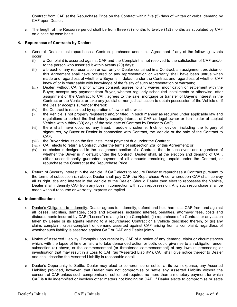Contract from CAF at the Repurchase Price on the Contract within five (5) days of written or verbal demand by CAF upon Dealer.

c. The length of the Recourse period shall be from three (3) months to twelve (12) months as stipulated by CAF on a case by case basis.

#### **5. Repurchase of Contracts by Dealer:**

- a. General. Dealer must repurchase a Contract purchased under this Agreement if any of the following events occur:
	- (i) a Complaint is asserted against CAF and the Complaint is not resolved to the satisfaction of CAF and/or to the person who asserted it within twenty (20) days;
	- (ii) a breach of any representation or warranty of Dealer contained in a Contract, an assignment provision or this Agreement shall have occurred or any representation or warranty shall have been untrue when made and regardless of whether a Buyer is in default under the Contract and regardless of whether CAF knew of or is chargeable with knowledge of the falsity of such representation or warranty;
	- (iii) Dealer, without CAF's prior written consent, agrees to any waiver, modification or settlement with the Buyer; accepts any payment from Buyer, whether regularly scheduled installments or otherwise, after assignment of the Contract to CAF; agrees to the sale, mortgage or transfer of Buyer's interest in the Contract or the Vehicle; or take any judicial or non judicial action to obtain possession of the Vehicle or if the Dealer accepts surrender thereof;
	- $(iv)$  the Contract is rescinded by operation of law or otherwise;
	- (v) the Vehicle is not properly registered and/or titled, in such manner as required under applicable law and regulations to perfect the first priority security interest of CAF as legal owner or lien holder of subject Vehicle within thirty (30) days of the sale date of Contract by Dealer to CAF;
	- (vi) there shall have occurred any fraud, fraudulent scheme, trick or device, including the forgery of signatures, by Buyer or Dealer in connection with Contract, the Vehicle or the sale of the Contract to CAF;
	- (vii) the Buyer defaults on the first installment payment due under the Contract;
	- (viii) CAF elects to return a Contract under the terms of subsection 2(a) of this Agreement; or
	- (ix) no choice is designated in the assignment section of a Contract, then in such event and regardless of whether the Buyer is in default under the Contract, Dealer shall, at the election and demand of CAF, either unconditionally guarantee payment of all amounts remaining unpaid under the Contract, or repurchase the Contract at the Repurchase Price.
- b. Return of Security Interest in the Vehicle. If CAF elects to require Dealer to repurchase a Contract pursuant to the terms of subsection (a) above, Dealer shall pay CAF the Repurchase Price, whereupon CAF shall convey all its right, title and interest in the Vehicle to the Dealer. Should Dealer then elect to repossess the Vehicle, Dealer shall indemnify CAF from any Loss in connection with such repossession. Any such repurchase shall be made without recourse or warranty, express or implied.

#### **6. Indemnification:**

- a. Dealer's Obligation to Indemnify. Dealer agrees to indemnify, defend and hold harmless CAF from and against all losses, liabilities, damages, costs and expenses, including interest, penalties, attorneys' fees, costs and disbursements incurred by CAF ("Losses") relating to (i) a Complaint, (ii) repurchase of a Contract or any action taken by Dealer or its agents relating to a repurchased Contract or a Vehicle described therein, or (iii) any claim, complaint, cross-complaint or demand asserted against CAF arising from a complaint, regardless of whether such liability is asserted against CAF or CAF and Dealer jointly.
- b. Notice of Asserted Liability. Promptly upon receipt by CAF of a notice of any demand, claim or circumstances which, with the lapse of time or failure to take demanded action or both, could give rise to an obligation under subsection (a) above, or the commencement (or threatened commencement) of any lawsuit, proceeding or investigation that may result in a Loss to CAF (as "Asserted Liability"), CAF shall give notice thereof to Dealer and shall describe the Asserted Liability in reasonable detail.
- c. Dealer's Opportunity to Settle. Dealer may elect to compromise or settle, at its own expense, any Asserted Liability; provided, however, that Dealer may not compromise or settle any Asserted Liability without the consent of CAF unless such compromise or settlement requires no more than a monetary payment for which CAF is fully indemnified or involves other matters not binding on CAF. If Dealer elects to compromise or settle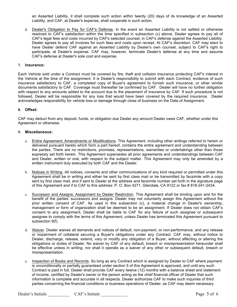an Asserted Liability, it shall complete such action within twenty (20) days of its knowledge of an Asserted Liability, and CAF, at Dealer's expense, shall cooperate in such action.

d. Dealer's Obligation to Pay for CAF's Defense. In the event an Asserted Liability is not settled or otherwise resolved to CAF's satisfaction within the time specified in subsection (c) above, Dealer agrees to pay all of CAF's legal fees and costs incurred by CAF's selected counsel, in CAF's defense against the Asserted Liability. Dealer agrees to pay all invoices for such fees and costs upon receipt. At CAF's discretion, CAF may elect to have Dealer defend CAF against an Asserted Liability by Dealer's own counsel, subject to CAF's right to participate, at Dealer's expense. CAF may, however, terminate Dealer's defense at any time and assume CAF's defense at Dealer's sole cost and expense.

#### **7. Insurance:**

Each Vehicle sold under a Contract must be covered by fire, theft and collision insurance protecting CAF's interest in the Vehicle at the time of the assignment. It is Dealer's responsibility to submit with each Contract, evidence of such insurance satisfactory to CAF, a completed copy of Buyer's agreement to furnish such insurance, or other similar documents satisfactory to CAF. Coverage must thereafter be confirmed by CAF. Dealer will have no further obligation with respect to any amounts added to the account due to the placement of insurance by CAF. If such procedure is not followed, Dealer will be responsible for any loss that would have been covered by the required insurance. Dealer acknowledges responsibility for vehicle loss or damage through close of business on the Date of Assignment.

#### **8. Offset:**

CAF may deduct from any deposit, funds, or obligation due Dealer any amount Dealer owes CAF, whether under this Agreement or otherwise.

#### **9. Miscellaneous:**

- a. Entire Agreement; Amendments or Modifications. This Agreement, including other writings referred to herein or delivered pursuant hereto which form a part hereof, contains the entire agreement and understanding between the parties. There are no restrictions, promises, representations, warranties or undertakings other than those expressly set forth herein. This Agreement supersedes all prior agreements and understandings between CAF and Dealer, written or oral, with respect to the subject matter. This Agreement may only be amended by a written instrument duly executed by both CAF and the Dealer.
- b. Notices in Writing. All notices, consents and other communications of any kind required or permitted under this Agreement shall be in writing and either be sent by first class mail or be transmitted by facsimile with a copy sent by first class mail, and if sent to Dealer at the address and facsimile number set forth in the signature page of this Agreement and if to CAF to this address: P. O. Box 4271, Glendale, CA 9122 or fax # 818-241-2434.
- c. Successor and Assigns; Assignment by Dealer Restriction. This Agreement shall be binding upon and for the benefit of the parties' successors and assigns. Dealer may not voluntarily assign this Agreement without the prior written consent of CAF. As used in this subsection (c), a material change in Dealer's ownership, management or form of organization shall be deemed to be an assignment. If Dealer does not obtain CAF's consent to any assignment, Dealer shall be liable to CAF for any failure of such assignee or subsequent assignee to comply with the terms of this Agreement, unless Dealer has terminated this Agreement pursuant to subsection 9(f).
- d. Waiver. Dealer waives all demands and notices of default, non-payment, or non-performance, and any release or impairment of collateral securing a Buyer's obligations under any Contract. CAF may, without notice to Dealer, discharge, release, extend, vary or modify any obligation of a Buyer, without affecting or altering the obligations or duties of Dealer. No waiver by CAF of any default, breach or misrepresentation hereunder shall be effective unless in writing, nor shall it operate as a waiver of any other or subsequent default, breach or misrepresentation.
- e. Inspection of Books and Records. So long as any Contract which is assigned by Dealer to CAF where payment is unconditionally or partially guaranteed under section 5 of this Agreement is approved, and until any such Contract is paid in full, Dealer shall provide CAF every twelve (12) months with a balance sheet and statement of income, certified by Dealer's owner or the person acting as the chief financial officer of Dealer that such information is complete and accurate in all respects. Dealer authorizes CAF to make such inquiries of third parties concerning the financial conditions or business operations of Dealer, as CAF may deem necessary.

Dealer's Initials CAF's Initials CAF's Initials Page 5 of 6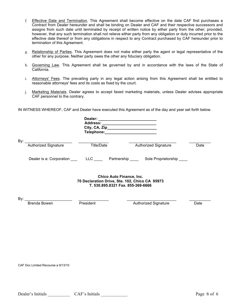- f. Effective Date and Termination. This Agreement shall become effective on the date CAF first purchases a Contract from Dealer hereunder and shall be binding on Dealer and CAF and their respective successors and assigns from such date until terminated by receipt of written notice by either party from the other; provided, however, that any such termination shall not relieve either party from any obligation or duty incurred prior to the effective date thereof or from any obligations in respect to any Contract purchased by CAF hereunder prior to termination of this Agreement.
- g. Relationship of Parties. This Agreement does not make either party the agent or legal representative of the other for any purpose. Neither party owes the other any fiduciary obligation.
- h. Governing Law. This Agreement shall be governed by and in accordance with the laws of the State of California.
- i. Attorneys' Fees. The prevailing party in any legal action arising from this Agreement shall be entitled to reasonable attorneys' fees and its costs as fixed by the court.
- j. Marketing Materials. Dealer agrees to accept faxed marketing materials, unless Dealer advises appropriate CAF personnel to the contrary.

IN WITNESS WHEREOF, CAF and Dealer have executed this Agreement as of the day and year set forth below.

|     |                             | Address: __________________________<br>Telephone: ________________________                                             |                                                                                                     |      |
|-----|-----------------------------|------------------------------------------------------------------------------------------------------------------------|-----------------------------------------------------------------------------------------------------|------|
| By: | <b>Authorized Signature</b> | Title/Date                                                                                                             | <b>Authorized Signature</b>                                                                         | Date |
|     |                             |                                                                                                                        | Dealer is a: Corporation __________LLC ___________ Partnership __________ Sole Proprietorship _____ |      |
|     |                             | <b>Chico Auto Finance, Inc.</b><br>70 Declaration Drive, Ste. 102, Chico CA 95973<br>T. 530.895.8321 Fax. 855-369-6666 |                                                                                                     |      |
| By: | Brenda Bowen                | President                                                                                                              | <b>Authorized Signature</b>                                                                         | Date |
|     |                             |                                                                                                                        |                                                                                                     |      |

CAF Doc Limited Recourse a 9/13/10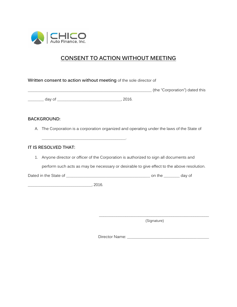

## **CONSENT TO ACTION WITHOUT MEETING**

**Written consent to action without meeting** of the sole director of

\_\_\_\_\_\_\_\_\_\_\_\_\_\_\_\_\_\_\_\_\_\_\_\_\_\_\_\_\_\_\_\_\_\_\_\_\_\_\_\_\_\_\_\_\_\_\_\_\_\_\_\_\_\_\_\_\_\_\_\_\_\_ (the "Corporation") dated this

\_\_\_\_\_\_\_\_ day of \_\_\_\_\_\_\_\_\_\_\_\_\_\_\_\_\_\_\_\_\_\_\_\_\_\_\_\_\_\_\_\_, 2016.

 $\overline{\phantom{a}}$  , and the contract of the contract of the contract of the contract of the contract of the contract of the contract of the contract of the contract of the contract of the contract of the contract of the contrac

#### **BACKGROUND:**

A. The Corporation is a corporation organized and operating under the laws of the State of

#### **IT IS RESOLVED THAT:**

1. Anyone director or officer of the Corporation is authorized to sign all documents and

perform such acts as may be necessary or desirable to give effect to the above resolution.

Dated in the State of \_\_\_\_\_\_\_\_\_\_\_\_\_\_\_\_\_\_\_\_\_\_\_\_\_\_\_\_\_\_\_\_\_\_\_\_\_\_\_\_\_\_ on the \_\_\_\_\_\_\_\_ day of

\_\_\_\_\_\_\_\_\_\_\_\_\_\_\_\_\_\_\_\_\_\_\_\_\_\_\_\_\_\_\_\_, 2016.

\_\_\_\_\_\_\_\_\_\_\_\_\_\_\_\_\_\_\_\_\_\_\_\_\_\_\_\_\_\_\_\_\_\_\_\_\_\_\_\_\_\_\_\_\_\_\_\_\_\_ (Signature)

Director Name: \_\_\_\_\_\_\_\_\_\_\_\_\_\_\_\_\_\_\_\_\_\_\_\_\_\_\_\_\_\_\_\_\_\_\_\_\_\_\_\_\_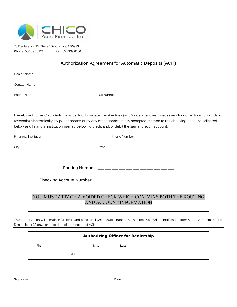

70 Declaration Dr. Suite 102 Chico, CA 95973 Phone: 530.895.8321 Fax: 855.369.6666

#### **Authorization Agreement for Automatic Deposits (ACH)**

Dealer Name:

Contact Name:

Phone Number: The Contract of the Phone Number:

I hereby authorize Chico Auto Finance, Inc. to initiate credit entries (and/or debit entries if necessary for corrections, unwinds, or reversals) electronically, by paper means or by any other commercially accepted method to the checking account indicated below and financial institution named below, to credit and/or debit the same to such account.

| Financial Institution | Phone Number: |  |
|-----------------------|---------------|--|
| City                  | State         |  |
|                       |               |  |
|                       |               |  |

### YOU MUST ATTACH A VOIDED CHECK WHICH CONTAINS BOTH THE ROUTING AND ACCOUNT INFORMATION

This authorization will remain in full force and effect until Chico Auto Finance, Inc. has received written notification from Authorized Personnel of Dealer, least 30 days prior, to date of termination of ACH.

| <b>Authorizing Officer for Dealership</b> |        |       |       |  |
|-------------------------------------------|--------|-------|-------|--|
| First:                                    |        | M.I.: | Last: |  |
|                                           | Title: |       |       |  |

\_\_\_\_\_\_\_\_\_\_\_\_\_\_\_\_\_\_\_\_\_\_\_\_\_\_\_\_\_\_\_\_\_\_\_\_\_\_\_\_\_\_\_\_\_\_\_\_\_\_\_\_\_\_ \_\_\_\_\_\_\_\_\_\_\_\_\_\_\_\_\_\_\_\_\_\_\_\_\_\_\_\_\_\_\_\_\_\_\_\_\_\_\_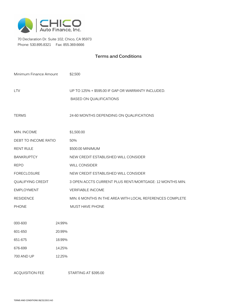

 70 Declaration Dr. Suite 102, Chico, CA 95973 Phone: 530.895.8321 Fax: 855.369.6666

### **Terms and Conditions**

| Minimum Finance Amount |        | \$2,500                                                                              |
|------------------------|--------|--------------------------------------------------------------------------------------|
| <b>LTV</b>             |        | UP TO 125% + \$595.00 IF GAP OR WARRANTY INCLUDED.<br><b>BASED ON QUALIFICATIONS</b> |
| <b>TERMS</b>           |        | 24-60 MONTHS DEPENDING ON QUALIFICATIONS                                             |
| MIN. INCOME            |        | \$1,500.00                                                                           |
| DEBT TO INCOME RATIO   |        | 50%                                                                                  |
| <b>RENT RULE</b>       |        | \$500.00 MINIMUM                                                                     |
| <b>BANKRUPTCY</b>      |        | NEW CREDIT ESTABLISHED WILL CONSIDER                                                 |
| <b>REPO</b>            |        | <b>WILL CONSIDER</b>                                                                 |
| <b>FORECLOSURE</b>     |        | NEW CREDIT ESTABLISHED WILL CONSIDER                                                 |
| QUALIFYING CREDIT      |        | 3 OPEN ACCTS CURRENT PLUS RENT/MORTGAGE: 12 MONTHS MIN.                              |
| <b>EMPLOYMENT</b>      |        | <b>VERIFIABLE INCOME</b>                                                             |
| <b>RESIDENCE</b>       |        | MIN. 6 MONTHS IN THE AREA WITH LOCAL REFERENCES COMPLETE                             |
| <b>PHONE</b>           |        | <b>MUST HAVE PHONE</b>                                                               |
|                        |        |                                                                                      |
| 000-600                | 24.99% |                                                                                      |
| 601-650                | 20.99% |                                                                                      |
| 651-675                | 18.99% |                                                                                      |
| 676-699                | 14.25% |                                                                                      |
| <b>700 AND UP</b>      | 12.25% |                                                                                      |
|                        |        |                                                                                      |

ACQUISITION FEE STARTING AT \$395.00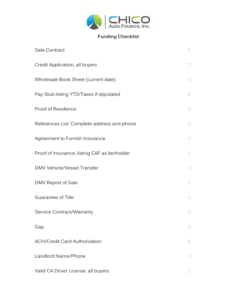

## **Funding Checklist**

| Sale Contract                                 |        |
|-----------------------------------------------|--------|
| Credit Application, all buyers                |        |
| Wholesale Book Sheet (current date)           |        |
| Pay Stub listing YTD/Taxes if stipulated      | $\Box$ |
| Proof of Residence                            |        |
| References List: Complete address and phone   |        |
| Agreement to Furnish Insurance                | П      |
| Proof of Insurance, listing CAF as lienholder |        |
| DMV Vehicle/Vessel Transfer                   |        |
| DMV Report of Sale                            | $\Box$ |
| Guarantee of Title                            |        |
| Service Contract/Warranty                     |        |
| Gap                                           |        |
| <b>ACH/Credit Card Authorization</b>          |        |
| Landlord Name/Phone                           |        |
| Valid CA Driver License, all buyers           |        |